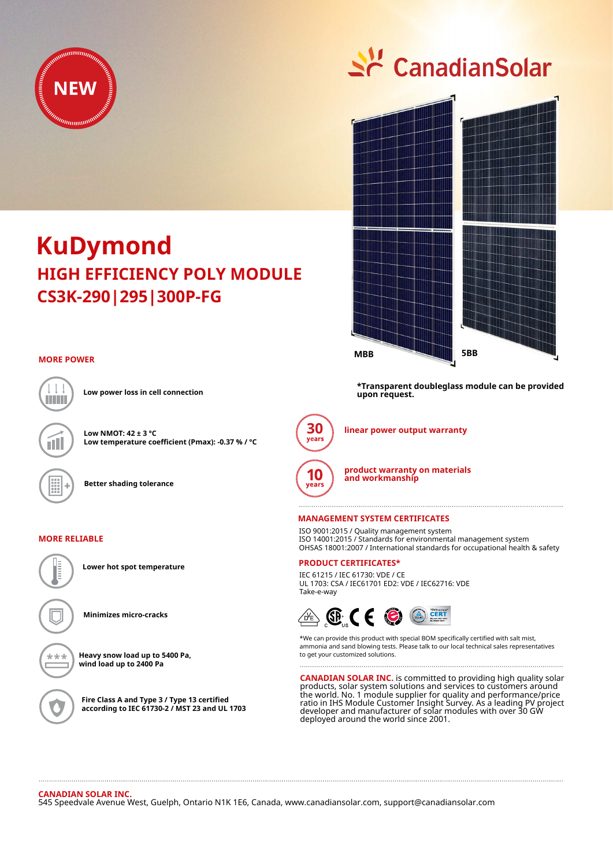

# Sc CanadianSolar



**KuDymond CS3K-290|295|300P-FG HIGH EFFICIENCY POLY MODULE**

### **MORE POWER**



**Low power loss in cell connection**

**Low NMOT: 42 ± 3 °C Low temperature coefficient (Pmax): -0.37 % / °C**

**Better shading tolerance**

#### **MORE RELIABLE**



**Lower hot spot temperature**

**Minimizes micro-cracks**

**Heavy snow load up to 5400 Pa, wind load up to 2400 Pa**

**Fire Class A and Type 3 / Type 13 certified according to IEC 61730-2 / MST 23 and UL 1703** **\*Transparent doubleglass module can be provided upon request.**



**linear power output warranty**



**product warranty on materials and workmanship**

#### **MANAGEMENT SYSTEM CERTIFICATES**

ISO 9001:2015 / Quality management system ISO 14001:2015 / Standards for environmental management system OHSAS 18001:2007 / International standards for occupational health & safety

## **PRODUCT CERTIFICATES\***

IEC 61215 / IEC 61730: VDE / CE UL 1703: CSA / IEC61701 ED2: VDE / IEC62716: VDE Take-e-way



\*We can provide this product with special BOM specifically certified with salt mist, ammonia and sand blowing tests. Please talk to our local technical sales representatives to get your customized solutions.

**CANADIAN SOLAR INC.** is committed to providing high quality solar products, solar system solutions and services to customers around the world. No. 1 module supplier for quality and performance/price ratio in IHS Module Customer Insight Survey. As a leading PV project developer and manufacturer of solar modules with over 30 GW deployed around the world since 2001.